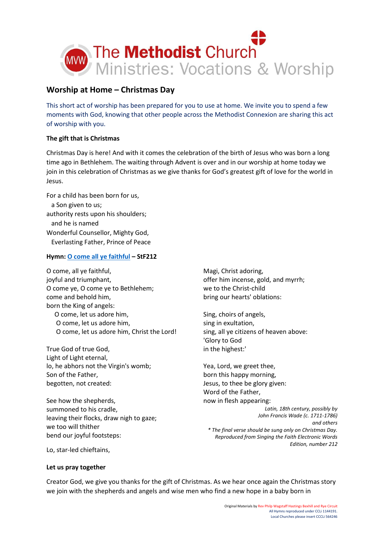

# **Worship at Home – Christmas Day**

This short act of worship has been prepared for you to use at home. We invite you to spend a few moments with God, knowing that other people across the Methodist Connexion are sharing this act of worship with you.

# **The gift that is Christmas**

Christmas Day is here! And with it comes the celebration of the birth of Jesus who was born a long time ago in Bethlehem. The waiting through Advent is over and in our worship at home today we join in this celebration of Christmas as we give thanks for God's greatest gift of love for the world in Jesus.

For a child has been born for us, a Son given to us; authority rests upon his shoulders; and he is named Wonderful Counsellor, Mighty God, Everlasting Father, Prince of Peace

# **Hymn: [O come all ye faithful](https://www.youtube.com/watch?v=DfRubAv0NwE) – StF212**

O come, all ye faithful, joyful and triumphant, O come ye, O come ye to Bethlehem; come and behold him, born the King of angels: O come, let us adore him, O come, let us adore him, O come, let us adore him, Christ the Lord!

True God of true God, Light of Light eternal, lo, he abhors not the Virgin's womb; Son of the Father, begotten, not created:

See how the shepherds, summoned to his cradle, leaving their flocks, draw nigh to gaze; we too will thither bend our joyful footsteps:

Magi, Christ adoring, offer him incense, gold, and myrrh; we to the Christ-child bring our hearts' oblations:

Sing, choirs of angels, sing in exultation, sing, all ye citizens of heaven above: 'Glory to God in the highest:'

Yea, Lord, we greet thee, born this happy morning, Jesus, to thee be glory given: Word of the Father, now in flesh appearing:

*Latin, 18th century, possibly by John Francis Wade (c. 1711-1786) and others \* The final verse should be sung only on Christmas Day. Reproduced from Singing the Faith Electronic Words Edition, number 212*

Lo, star-led chieftains,

### **Let us pray together**

Creator God, we give you thanks for the gift of Christmas. As we hear once again the Christmas story we join with the shepherds and angels and wise men who find a new hope in a baby born in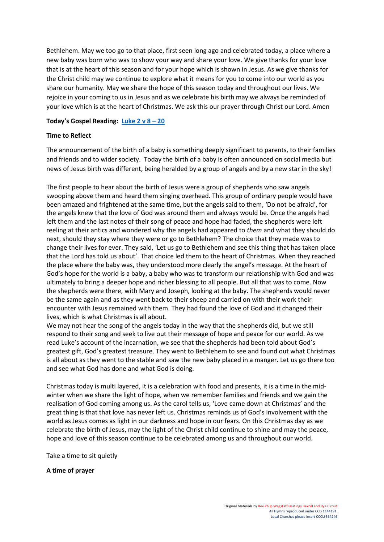Bethlehem. May we too go to that place, first seen long ago and celebrated today, a place where a new baby was born who was to show your way and share your love. We give thanks for your love that is at the heart of this season and for your hope which is shown in Jesus. As we give thanks for the Christ child may we continue to explore what it means for you to come into our world as you share our humanity. May we share the hope of this season today and throughout our lives. We rejoice in your coming to us in Jesus and as we celebrate his birth may we always be reminded of your love which is at the heart of Christmas. We ask this our prayer through Christ our Lord. Amen

### **Today's Gospel Reading: [Luke 2 v 8](https://www.biblegateway.com/passage/?search=Luke+2%3A+8+%E2%80%93+20&version=NIV) – 20**

### **Time to Reflect**

The announcement of the birth of a baby is something deeply significant to parents, to their families and friends and to wider society. Today the birth of a baby is often announced on social media but news of Jesus birth was different, being heralded by a group of angels and by a new star in the sky!

The first people to hear about the birth of Jesus were a group of shepherds who saw angels swooping above them and heard them singing overhead. This group of ordinary people would have been amazed and frightened at the same time, but the angels said to them, 'Do not be afraid', for the angels knew that the love of God was around them and always would be. Once the angels had left them and the last notes of their song of peace and hope had faded, the shepherds were left reeling at their antics and wondered why the angels had appeared to *them* and what they should do next, should they stay where they were or go to Bethlehem? The choice that they made was to change their lives for ever. They said, 'Let us go to Bethlehem and see this thing that has taken place that the Lord has told us about'. That choice led them to the heart of Christmas. When they reached the place where the baby was, they understood more clearly the angel's message. At the heart of God's hope for the world is a baby, a baby who was to transform our relationship with God and was ultimately to bring a deeper hope and richer blessing to all people. But all that was to come. Now the shepherds were there, with Mary and Joseph, looking at the baby. The shepherds would never be the same again and as they went back to their sheep and carried on with their work their encounter with Jesus remained with them. They had found the love of God and it changed their lives, which is what Christmas is all about.

We may not hear the song of the angels today in the way that the shepherds did, but we still respond to their song and seek to live out their message of hope and peace for our world. As we read Luke's account of the incarnation, we see that the shepherds had been told about God's greatest gift, God's greatest treasure. They went to Bethlehem to see and found out what Christmas is all about as they went to the stable and saw the new baby placed in a manger. Let us go there too and see what God has done and what God is doing.

Christmas today is multi layered, it is a celebration with food and presents, it is a time in the midwinter when we share the light of hope, when we remember families and friends and we gain the realisation of God coming among us. As the carol tells us, 'Love came down at Christmas' and the great thing is that that love has never left us. Christmas reminds us of God's involvement with the world as Jesus comes as light in our darkness and hope in our fears. On this Christmas day as we celebrate the birth of Jesus, may the light of the Christ child continue to shine and may the peace, hope and love of this season continue to be celebrated among us and throughout our world.

Take a time to sit quietly

**A time of prayer**